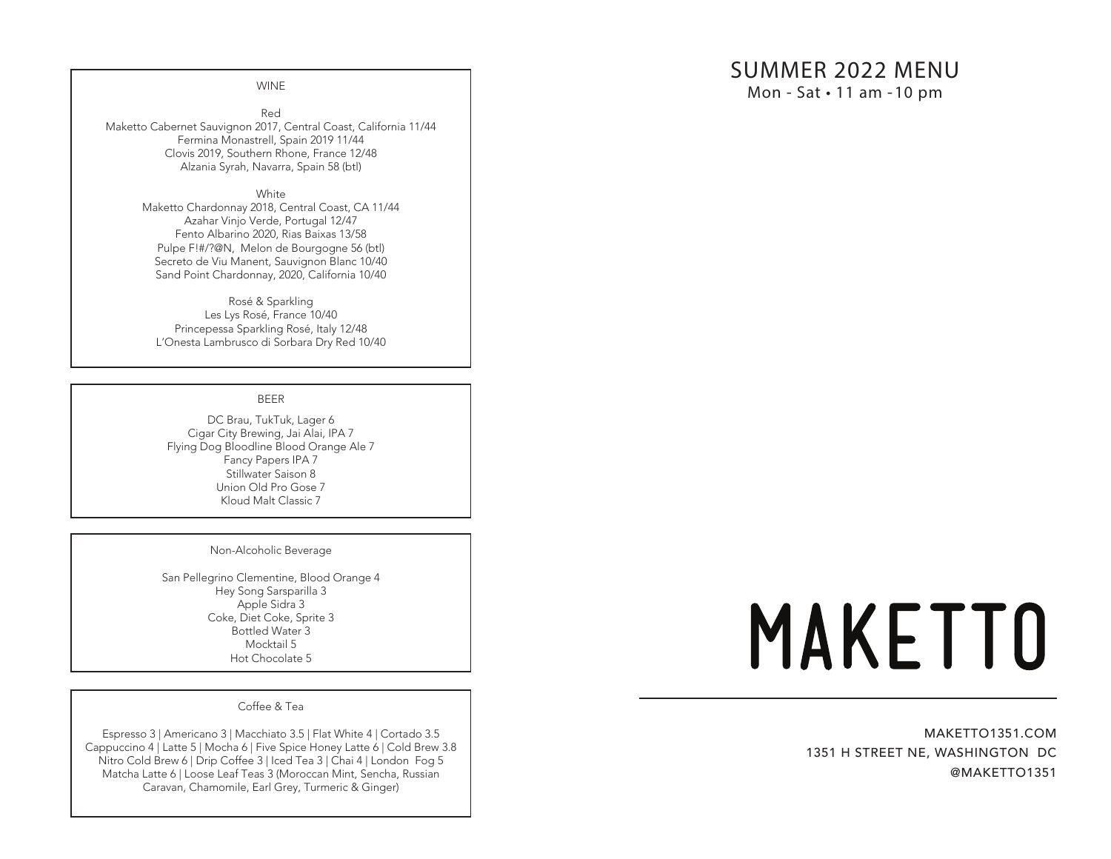# SUMMER 2022 MENU

Mon - Sat • 11 am - 10 pm

WINE

Red Maketto Cabernet Sauvignon 2017, Central Coast, California 11/44 Fermina Monastrell, Spain 2019 11/44 Clovis 2019, Southern Rhone, France 12/48 Alzania Syrah, Navarra, Spain 58 (btl)

**White** 

Maketto Chardonnay 2018, Central Coast, CA 11/44 Azahar Vinjo Verde, Portugal 12/47 Fento Albarino 2020, Rias Baixas 13/58 Pulpe F!#/?@N, Melon de Bourgogne 56 (btl) Secreto de Viu Manent, Sauvignon Blanc 10/40 Sand Point Chardonnay, 2020, California 10/40

Rosé & Sparkling Les Lys Rosé, France 10/40 Princepessa Sparkling Rosé, Italy 12/48 L'Onesta Lambrusco di Sorbara Dry Red 10/40

## BEER

DC Brau, TukTuk, Lager 6 Cigar City Brewing, Jai Alai, IPA 7 Flying Dog Bloodline Blood Orange Ale 7 Fancy Papers IPA 7 Stillwater Saison 8 Union Old Pro Gose 7 Kloud Malt Classic 7

#### Non-Alcoholic Beverage

San Pellegrino Clementine, Blood Orange 4 Hey Song Sarsparilla 3 Apple Sidra 3 Coke, Diet Coke, Sprite 3 Bottled Water 3 Mocktail 5 Hot Chocolate 5

Coffee & Tea

Espresso 3 | Americano 3 | Macchiato 3.5 | Flat White 4 | Cortado 3.5 Cappuccino 4 | Latte 5 | Mocha 6 | Five Spice Honey Latte 6 | Cold Brew 3.8 Nitro Cold Brew 6 | Drip Coffee 3 | Iced Tea 3 | Chai 4 | London Fog 5 Matcha Latte 6 | Loose Leaf Teas 3 (Moroccan Mint, Sencha, Russian Caravan, Chamomile, Earl Grey, Turmeric & Ginger)

# **MAKETTO**

MAKETTO1351.COM 1351 H STREET NE, WASHINGTON DC @MAKETTO1351